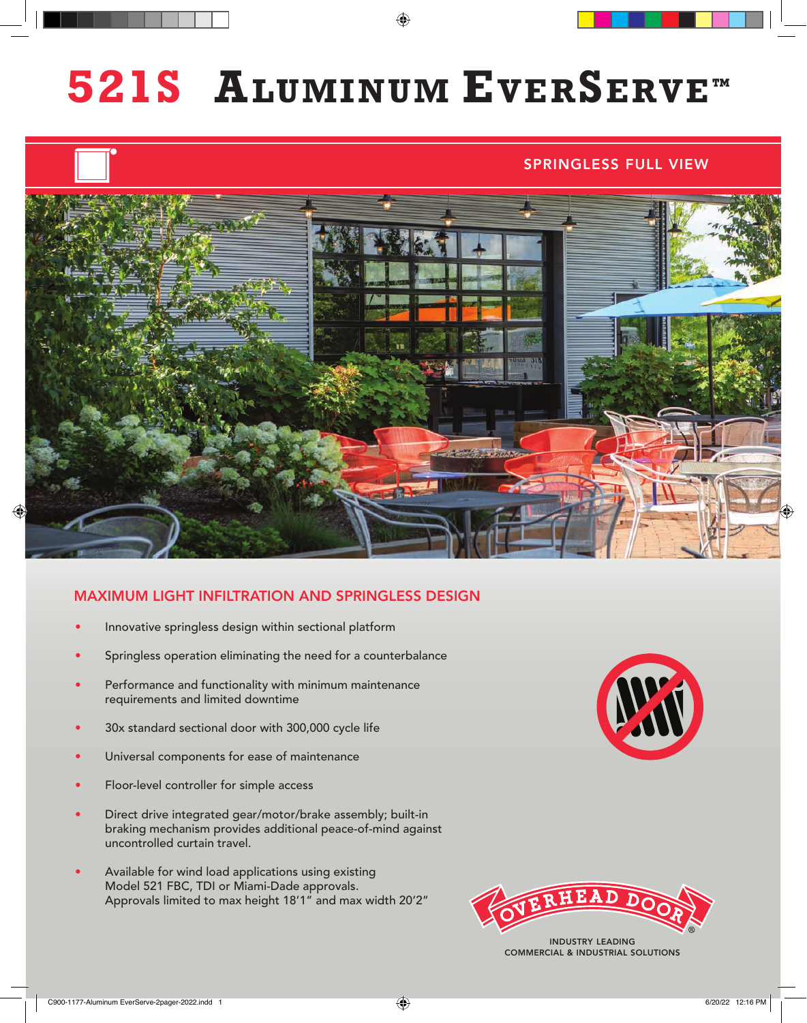# **ALUMINUM EVERSERVE™ 521S**

#### SPRINGLESS FULL VIEW



#### MAXIMUM LIGHT INFILTRATION AND SPRINGLESS DESIGN

- Innovative springless design within sectional platform
- Springless operation eliminating the need for a counterbalance
- Performance and functionality with minimum maintenance requirements and limited downtime
- 30x standard sectional door with 300,000 cycle life
- Universal components for ease of maintenance
- Floor-level controller for simple access
- Direct drive integrated gear/motor/brake assembly; built-in braking mechanism provides additional peace-of-mind against uncontrolled curtain travel.
- Available for wind load applications using existing Model 521 FBC, TDI or Miami-Dade approvals. Approvals limited to max height 18'1" and max width 20'2"





INDUSTRY LEADING COMMERCIAL & INDUSTRIAL SOLUTIONS